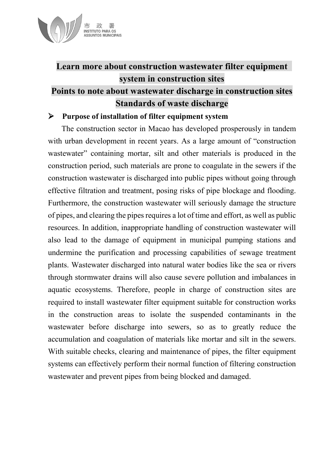

# **Learn more about construction wastewater filter equipment system in construction sites Points to note about wastewater discharge in construction sites Standards of waste discharge**

#### **Purpose of installation of filter equipment system**

The construction sector in Macao has developed prosperously in tandem with urban development in recent years. As a large amount of "construction wastewater" containing mortar, silt and other materials is produced in the construction period, such materials are prone to coagulate in the sewers if the construction wastewater is discharged into public pipes without going through effective filtration and treatment, posing risks of pipe blockage and flooding. Furthermore, the construction wastewater will seriously damage the structure of pipes, and clearing the pipes requires a lot of time and effort, as well as public resources. In addition, inappropriate handling of construction wastewater will also lead to the damage of equipment in municipal pumping stations and undermine the purification and processing capabilities of sewage treatment plants. Wastewater discharged into natural water bodies like the sea or rivers through stormwater drains will also cause severe pollution and imbalances in aquatic ecosystems. Therefore, people in charge of construction sites are required to install wastewater filter equipment suitable for construction works in the construction areas to isolate the suspended contaminants in the wastewater before discharge into sewers, so as to greatly reduce the accumulation and coagulation of materials like mortar and silt in the sewers. With suitable checks, clearing and maintenance of pipes, the filter equipment systems can effectively perform their normal function of filtering construction wastewater and prevent pipes from being blocked and damaged.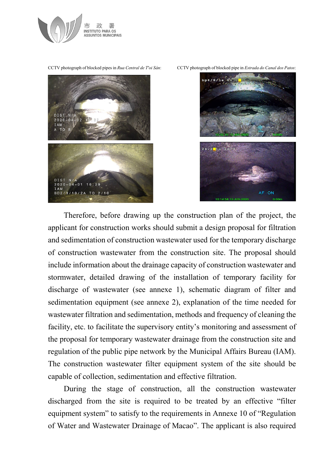

CCTV photograph of blocked pipes in *Rua Central de T'oi Sán*: CCTV photograph of blocked pipe in *Estrada do Canal dos Patos*:





Therefore, before drawing up the construction plan of the project, the applicant for construction works should submit a design proposal for filtration and sedimentation of construction wastewater used for the temporary discharge of construction wastewater from the construction site. The proposal should include information about the drainage capacity of construction wastewater and stormwater, detailed drawing of the installation of temporary facility for discharge of wastewater (see annexe 1), schematic diagram of filter and sedimentation equipment (see annexe 2), explanation of the time needed for wastewater filtration and sedimentation, methods and frequency of cleaning the facility, etc. to facilitate the supervisory entity's monitoring and assessment of the proposal for temporary wastewater drainage from the construction site and regulation of the public pipe network by the Municipal Affairs Bureau (IAM). The construction wastewater filter equipment system of the site should be capable of collection, sedimentation and effective filtration.

During the stage of construction, all the construction wastewater discharged from the site is required to be treated by an effective "filter equipment system" to satisfy to the requirements in Annexe 10 of "Regulation of Water and Wastewater Drainage of Macao". The applicant is also required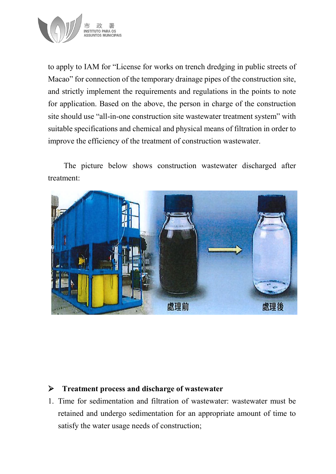

to apply to IAM for "License for works on trench dredging in public streets of Macao" for connection of the temporary drainage pipes of the construction site, and strictly implement the requirements and regulations in the points to note for application. Based on the above, the person in charge of the construction site should use "all-in-one construction site wastewater treatment system" with suitable specifications and chemical and physical means of filtration in order to improve the efficiency of the treatment of construction wastewater.

The picture below shows construction wastewater discharged after treatment:



## **Treatment process and discharge of wastewater**

1. Time for sedimentation and filtration of wastewater: wastewater must be retained and undergo sedimentation for an appropriate amount of time to satisfy the water usage needs of construction;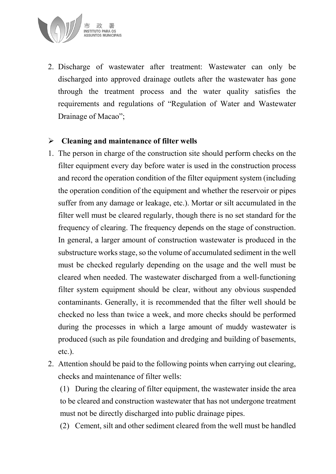

2. Discharge of wastewater after treatment: Wastewater can only be discharged into approved drainage outlets after the wastewater has gone through the treatment process and the water quality satisfies the requirements and regulations of "Regulation of Water and Wastewater Drainage of Macao";

## **Cleaning and maintenance of filter wells**

- 1. The person in charge of the construction site should perform checks on the filter equipment every day before water is used in the construction process and record the operation condition of the filter equipment system (including the operation condition of the equipment and whether the reservoir or pipes suffer from any damage or leakage, etc.). Mortar or silt accumulated in the filter well must be cleared regularly, though there is no set standard for the frequency of clearing. The frequency depends on the stage of construction. In general, a larger amount of construction wastewater is produced in the substructure works stage, so the volume of accumulated sediment in the well must be checked regularly depending on the usage and the well must be cleared when needed. The wastewater discharged from a well-functioning filter system equipment should be clear, without any obvious suspended contaminants. Generally, it is recommended that the filter well should be checked no less than twice a week, and more checks should be performed during the processes in which a large amount of muddy wastewater is produced (such as pile foundation and dredging and building of basements, etc.).
- 2. Attention should be paid to the following points when carrying out clearing, checks and maintenance of filter wells:

(1) During the clearing of filter equipment, the wastewater inside the area to be cleared and construction wastewater that has not undergone treatment must not be directly discharged into public drainage pipes.

(2) Cement, silt and other sediment cleared from the well must be handled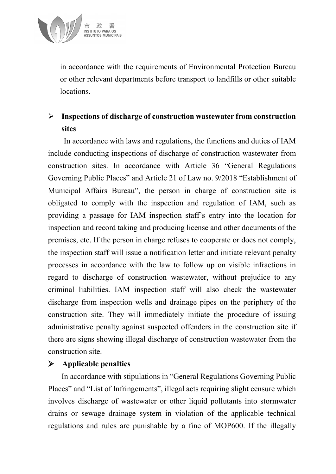

in accordance with the requirements of Environmental Protection Bureau or other relevant departments before transport to landfills or other suitable locations.

## **Inspections of discharge of construction wastewater from construction sites**

In accordance with laws and regulations, the functions and duties of IAM include conducting inspections of discharge of construction wastewater from construction sites. In accordance with Article 36 "General Regulations Governing Public Places" and Article 21 of Law no. 9/2018 "Establishment of Municipal Affairs Bureau", the person in charge of construction site is obligated to comply with the inspection and regulation of IAM, such as providing a passage for IAM inspection staff's entry into the location for inspection and record taking and producing license and other documents of the premises, etc. If the person in charge refuses to cooperate or does not comply, the inspection staff will issue a notification letter and initiate relevant penalty processes in accordance with the law to follow up on visible infractions in regard to discharge of construction wastewater, without prejudice to any criminal liabilities. IAM inspection staff will also check the wastewater discharge from inspection wells and drainage pipes on the periphery of the construction site. They will immediately initiate the procedure of issuing administrative penalty against suspected offenders in the construction site if there are signs showing illegal discharge of construction wastewater from the construction site.

#### **Applicable penalties**

In accordance with stipulations in "General Regulations Governing Public Places" and "List of Infringements", illegal acts requiring slight censure which involves discharge of wastewater or other liquid pollutants into stormwater drains or sewage drainage system in violation of the applicable technical regulations and rules are punishable by a fine of MOP600. If the illegally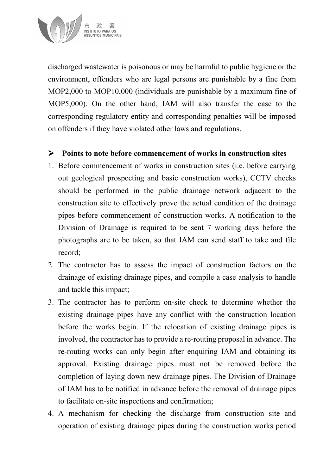

discharged wastewater is poisonous or may be harmful to public hygiene or the environment, offenders who are legal persons are punishable by a fine from MOP2,000 to MOP10,000 (individuals are punishable by a maximum fine of MOP5,000). On the other hand, IAM will also transfer the case to the corresponding regulatory entity and corresponding penalties will be imposed on offenders if they have violated other laws and regulations.

## **Points to note before commencement of works in construction sites**

- 1. Before commencement of works in construction sites (i.e. before carrying out geological prospecting and basic construction works), CCTV checks should be performed in the public drainage network adjacent to the construction site to effectively prove the actual condition of the drainage pipes before commencement of construction works. A notification to the Division of Drainage is required to be sent 7 working days before the photographs are to be taken, so that IAM can send staff to take and file record;
- 2. The contractor has to assess the impact of construction factors on the drainage of existing drainage pipes, and compile a case analysis to handle and tackle this impact;
- 3. The contractor has to perform on-site check to determine whether the existing drainage pipes have any conflict with the construction location before the works begin. If the relocation of existing drainage pipes is involved, the contractor has to provide a re-routing proposal in advance. The re-routing works can only begin after enquiring IAM and obtaining its approval. Existing drainage pipes must not be removed before the completion of laying down new drainage pipes. The Division of Drainage of IAM has to be notified in advance before the removal of drainage pipes to facilitate on-site inspections and confirmation;
- 4. A mechanism for checking the discharge from construction site and operation of existing drainage pipes during the construction works period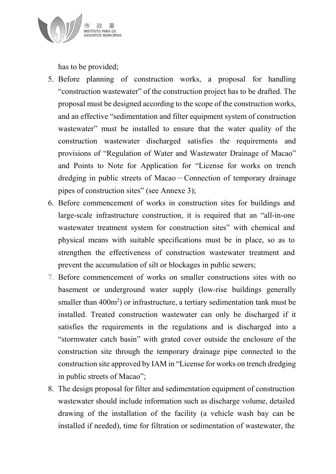

has to be provided;

- 5. Before planning of construction works, a proposal for handling "construction wastewater" of the construction project has to be drafted. The proposal must be designed according to the scope of the construction works, and an effective "sedimentation and filter equipment system of construction wastewater" must be installed to ensure that the water quality of the construction wastewater discharged satisfies the requirements and provisions of "Regulation of Water and Wastewater Drainage of Macao" and Points to Note for Application for "License for works on trench dredging in public streets of Macao – Connection of temporary drainage pipes of construction sites" (see Annexe 3);
- 6. Before commencement of works in construction sites for buildings and large-scale infrastructure construction, it is required that an "all-in-one wastewater treatment system for construction sites" with chemical and physical means with suitable specifications must be in place, so as to strengthen the effectiveness of construction wastewater treatment and prevent the accumulation of silt or blockages in public sewers;
- 7. Before commencement of works on smaller constructions sites with no basement or underground water supply (low-rise buildings generally smaller than  $400m^2$ ) or infrastructure, a tertiary sedimentation tank must be installed. Treated construction wastewater can only be discharged if it satisfies the requirements in the regulations and is discharged into a "stormwater catch basin" with grated cover outside the enclosure of the construction site through the temporary drainage pipe connected to the construction site approved by IAM in "License for works on trench dredging in public streets of Macao";
- 8. The design proposal for filter and sedimentation equipment of construction wastewater should include information such as discharge volume, detailed drawing of the installation of the facility (a vehicle wash bay can be installed if needed), time for filtration or sedimentation of wastewater, the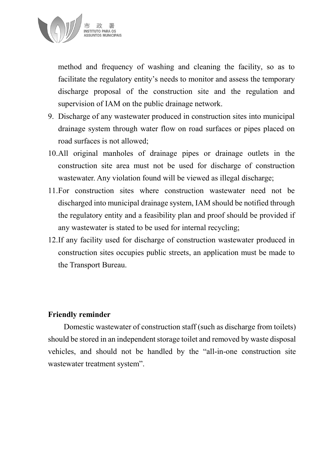

method and frequency of washing and cleaning the facility, so as to facilitate the regulatory entity's needs to monitor and assess the temporary discharge proposal of the construction site and the regulation and supervision of IAM on the public drainage network.

- 9. Discharge of any wastewater produced in construction sites into municipal drainage system through water flow on road surfaces or pipes placed on road surfaces is not allowed;
- 10.All original manholes of drainage pipes or drainage outlets in the construction site area must not be used for discharge of construction wastewater. Any violation found will be viewed as illegal discharge;
- 11.For construction sites where construction wastewater need not be discharged into municipal drainage system, IAM should be notified through the regulatory entity and a feasibility plan and proof should be provided if any wastewater is stated to be used for internal recycling;
- 12.If any facility used for discharge of construction wastewater produced in construction sites occupies public streets, an application must be made to the Transport Bureau.

#### **Friendly reminder**

Domestic wastewater of construction staff (such as discharge from toilets) should be stored in an independent storage toilet and removed by waste disposal vehicles, and should not be handled by the "all-in-one construction site wastewater treatment system".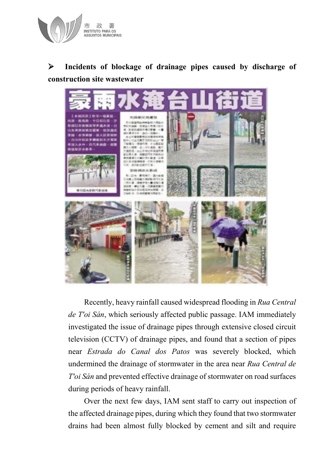

# **Incidents of blockage of drainage pipes caused by discharge of construction site wastewater**



Recently, heavy rainfall caused widespread flooding in *Rua Central de T'oi Sán*, which seriously affected public passage. IAM immediately investigated the issue of drainage pipes through extensive closed circuit television (CCTV) of drainage pipes, and found that a section of pipes near *Estrada do Canal dos Patos* was severely blocked, which undermined the drainage of stormwater in the area near *Rua Central de T'oi Sán* and prevented effective drainage of stormwater on road surfaces during periods of heavy rainfall.

Over the next few days, IAM sent staff to carry out inspection of the affected drainage pipes, during which they found that two stormwater drains had been almost fully blocked by cement and silt and require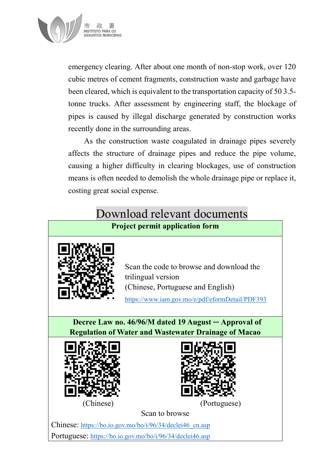

emergency clearing. After about one month of non-stop work, over 120 cubic metres of cement fragments, construction waste and garbage have been cleared, which is equivalent to the transportation capacity of 50 3.5 tonne trucks. After assessment by engineering staff, the blockage of pipes is caused by illegal discharge generated by construction works recently done in the surrounding areas.

As the construction waste coagulated in drainage pipes severely affects the structure of drainage pipes and reduce the pipe volume, causing a higher difficulty in clearing blockages, use of construction means is often needed to demolish the whole drainage pipe or replace it, costing great social expense.

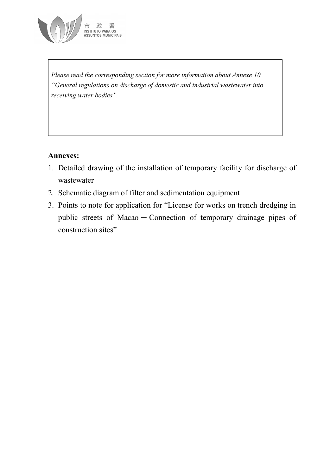

*Please read the corresponding section for more information about Annexe 10 "General regulations on discharge of domestic and industrial wastewater into receiving water bodies".*

## **Annexes:**

- 1. Detailed drawing of the installation of temporary facility for discharge of wastewater
- 2. Schematic diagram of filter and sedimentation equipment
- 3. Points to note for application for "License for works on trench dredging in public streets of Macao - Connection of temporary drainage pipes of construction sites"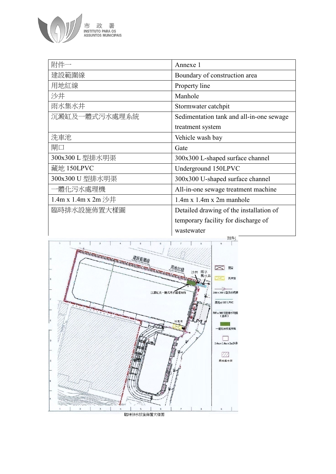

| 附件一                 | Annexe 1                                 |
|---------------------|------------------------------------------|
| 建設範圍線               | Boundary of construction area            |
| 用地紅線                | Property line                            |
| 沙井                  | Manhole                                  |
| 雨水集水井               | Stormwater catchpit                      |
| 沉澱缸及一體式污水處理系統       | Sedimentation tank and all-in-one sewage |
|                     | treatment system                         |
| 洗車池                 | Vehicle wash bay                         |
| 閘口                  | Gate                                     |
| 300x300 L 型排水明渠     | 300x300 L-shaped surface channel         |
| 藏地 150LPVC          | Underground 150LPVC                      |
| 300x300 U 型排水明渠     | 300x300 U-shaped surface channel         |
| 一體化污水處理機            | All-in-one sewage treatment machine      |
| 1.4m x 1.4m x 2m 沙井 | $1.4m \times 1.4m \times 2m$ manhole     |
| 臨時排水設施佈置大樣圖         | Detailed drawing of the installation of  |
|                     | temporary facility for discharge of      |
|                     | wastewater                               |
|                     | <b>附件1</b>                               |

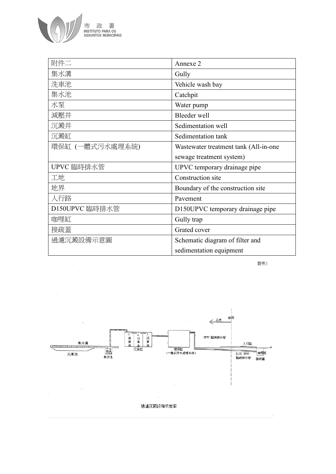

| 附件二             | Annexe 2                              |
|-----------------|---------------------------------------|
| 集水溝             | Gully                                 |
| 洗車池             | Vehicle wash bay                      |
| 集水池             | Catchpit                              |
| 水泵              | Water pump                            |
| 減壓井             | Bleeder well                          |
| 沉澱井             | Sedimentation well                    |
| 沉澱缸             | Sedimentation tank                    |
| 環保缸 (一體式污水處理系統) | Wastewater treatment tank (All-in-one |
|                 | sewage treatment system)              |
| UPVC 臨時排水管      | UPVC temporary drainage pipe          |
| 工地              | Construction site                     |
| 地界              | Boundary of the construction site     |
| 人行路             | Pavement                              |
| D150UPVC 臨時排水管  | D150UPVC temporary drainage pipe      |
| 咖哩缸             | Gully trap                            |
| 接疏蓋             | Grated cover                          |
| 過濾沉澱設備示意圖       | Schematic diagram of filter and       |
|                 | sedimentation equipment               |

附件2

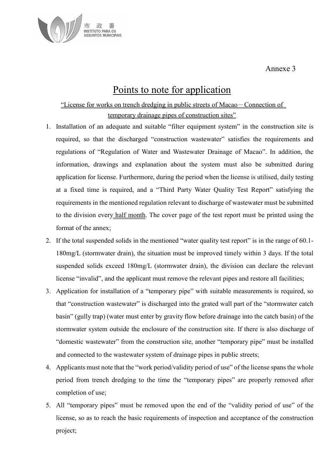Annexe 3



## Points to note for application

#### "License for works on trench dredging in public streets of Macao-Connection of temporary drainage pipes of construction sites"

- 1. Installation of an adequate and suitable "filter equipment system" in the construction site is required, so that the discharged "construction wastewater" satisfies the requirements and regulations of "Regulation of Water and Wastewater Drainage of Macao". In addition, the information, drawings and explanation about the system must also be submitted during application for license. Furthermore, during the period when the license is utilised, daily testing at a fixed time is required, and a "Third Party Water Quality Test Report" satisfying the requirements in the mentioned regulation relevant to discharge of wastewater must be submitted to the division every half month. The cover page of the test report must be printed using the format of the annex;
- 2. If the total suspended solids in the mentioned "water quality test report" is in the range of 60.1- 180mg/L (stormwater drain), the situation must be improved timely within 3 days. If the total suspended solids exceed 180mg/L (stormwater drain), the division can declare the relevant license "invalid", and the applicant must remove the relevant pipes and restore all facilities;
- 3. Application for installation of a "temporary pipe" with suitable measurements is required, so that "construction wastewater" is discharged into the grated wall part of the "stormwater catch basin" (gully trap) (water must enter by gravity flow before drainage into the catch basin) of the stormwater system outside the enclosure of the construction site. If there is also discharge of "domestic wastewater" from the construction site, another "temporary pipe" must be installed and connected to the wastewater system of drainage pipes in public streets;
- 4. Applicants must note that the "work period/validity period of use" of the license spans the whole period from trench dredging to the time the "temporary pipes" are properly removed after completion of use;
- 5. All "temporary pipes" must be removed upon the end of the "validity period of use" of the license, so as to reach the basic requirements of inspection and acceptance of the construction project;